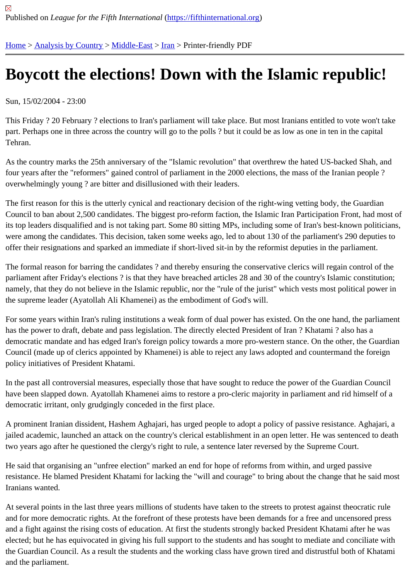## [Bo](https://fifthinternational.org/)y[cott the el](https://fifthinternational.org/category/1)[ections](https://fifthinternational.org/category/1/178)[! D](https://fifthinternational.org/category/1/178/182)own with the Islamic republic!

Sun, 15/02/2004 - 23:00

This Friday ? 20 February ? elections to Iran's parliament will take place. But most Iranians entitled to vote won't ta part. Perhaps one in three across the country will go to the polls ? but it could be as low as one in ten in the capita Tehran.

As the country marks the 25th anniversary of the "Islamic revolution" that overthrew the hated US-backed Shah, a four years after the "reformers" gained control of parliament in the 2000 elections, the mass of the Iranian people ? overwhelmingly young ? are bitter and disillusioned with their leaders.

The first reason for this is the utterly cynical and reactionary decision of the right-wing vetting body, the Guardian Council to ban about 2,500 candidates. The biggest pro-reform faction, the Islamic Iran Participation Front, had mo its top leaders disqualified and is not taking part. Some 80 sitting MPs, including some of Iran's best-known politici were among the candidates. This decision, taken some weeks ago, led to about 130 of the parliament's 290 deput offer their resignations and sparked an immediate if short-lived sit-in by the reformist deputies in the parliament.

The formal reason for barring the candidates ? and thereby ensuring the conservative clerics will regain control of parliament after Friday's elections ? is that they have breached articles 28 and 30 of the country's Islamic constitut namely, that they do not believe in the Islamic republic, nor the "rule of the jurist" which vests most political power in the supreme leader (Ayatollah Ali Khamenei) as the embodiment of God's will.

For some years within Iran's ruling institutions a weak form of dual power has existed. On the one hand, the parlia has the power to draft, debate and pass legislation. The directly elected President of Iran ? Khatami ? also has a democratic mandate and has edged Iran's foreign policy towards a more pro-western stance. On the other, the Gu Council (made up of clerics appointed by Khamenei) is able to reject any laws adopted and countermand the foreig policy initiatives of President Khatami.

In the past all controversial measures, especially those that have sought to reduce the power of the Guardian Cou have been slapped down. Ayatollah Khamenei aims to restore a pro-cleric majority in parliament and rid himself of democratic irritant, only grudgingly conceded in the first place.

A prominent Iranian dissident, Hashem Aghajari, has urged people to adopt a policy of passive resistance. Aghaja jailed academic, launched an attack on the country's clerical establishment in an open letter. He was sentenced to two years ago after he questioned the clergy's right to rule, a sentence later reversed by the Supreme Court.

He said that organising an "unfree election" marked an end for hope of reforms from within, and urged passive resistance. He blamed President Khatami for lacking the "will and courage" to bring about the change that he said Iranians wanted.

At several points in the last three years millions of students have taken to the streets to protest against theocratic r and for more democratic rights. At the forefront of these protests have been demands for a free and uncensored p and a fight against the rising costs of education. At first the students strongly backed President Khatami after he w elected; but he has equivocated in giving his full support to the students and has sought to mediate and conciliate the Guardian Council. As a result the students and the working class have grown tired and distrustful both of Khata and the parliament.